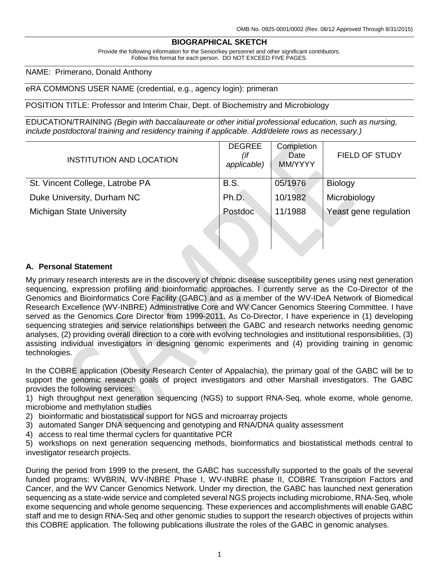## **BIOGRAPHICAL SKETCH**

Provide the following information for the Senior/key personnel and other significant contributors. Follow this format for each person. DO NOT EXCEED FIVE PAGES.

NAME: Primerano, Donald Anthony

eRA COMMONS USER NAME (credential, e.g., agency login): primeran

POSITION TITLE: Professor and Interim Chair, Dept. of Biochemistry and Microbiology

EDUCATION/TRAINING *(Begin with baccalaureate or other initial professional education, such as nursing, include postdoctoral training and residency training if applicable. Add/delete rows as necessary.)*

| INSTITUTION AND LOCATION         | <b>DEGREE</b><br>(if<br>applicable) | Completion<br>Date<br>MM/YYYY | <b>FIELD OF STUDY</b> |
|----------------------------------|-------------------------------------|-------------------------------|-----------------------|
| St. Vincent College, Latrobe PA  | <b>B.S.</b>                         | 05/1976                       | <b>Biology</b>        |
| Duke University, Durham NC       | Ph.D.                               | 10/1982                       | Microbiology          |
| <b>Michigan State University</b> | Postdoc                             | 11/1988                       | Yeast gene regulation |
|                                  |                                     |                               |                       |
|                                  |                                     |                               |                       |

## **A. Personal Statement**

My primary research interests are in the discovery of chronic disease susceptibility genes using next generation sequencing, expression profiling and bioinformatic approaches. I currently serve as the Co-Director of the Genomics and Bioinformatics Core Facility (GABC) and as a member of the WV-IDeA Network of Biomedical Research Excellence (WV-INBRE) Administrative Core and WV Cancer Genomics Steering Committee. I have served as the Genomics Core Director from 1999-2011. As Co-Director, I have experience in (1) developing sequencing strategies and service relationships between the GABC and research networks needing genomic analyses, (2) providing overall direction to a core with evolving technologies and institutional responsibilities, (3) assisting individual investigators in designing genomic experiments and (4) providing training in genomic technologies.

In the COBRE application (Obesity Research Center of Appalachia), the primary goal of the GABC will be to support the genomic research goals of project investigators and other Marshall investigators. The GABC provides the following services:

1) high throughput next generation sequencing (NGS) to support RNA-Seq, whole exome, whole genome, microbiome and methylation studies

2) bioinformatic and biostatistical support for NGS and microarray projects

3) automated Sanger DNA sequencing and genotyping and RNA/DNA quality assessment

4) access to real time thermal cyclers for quantitative PCR

5) workshops on next generation sequencing methods, bioinformatics and biostatistical methods central to investigator research projects.

During the period from 1999 to the present, the GABC has successfully supported to the goals of the several funded programs: WVBRIN, WV-INBRE Phase I, WV-INBRE phase II, COBRE Transcription Factors and Cancer, and the WV Cancer Genomics Network. Under my direction, the GABC has launched next generation sequencing as a state-wide service and completed several NGS projects including microbiome, RNA-Seq, whole exome sequencing and whole genome sequencing. These experiences and accomplishments will enable GABC staff and me to design RNA-Seq and other genomic studies to support the research objectives of projects within this COBRE application. The following publications illustrate the roles of the GABC in genomic analyses.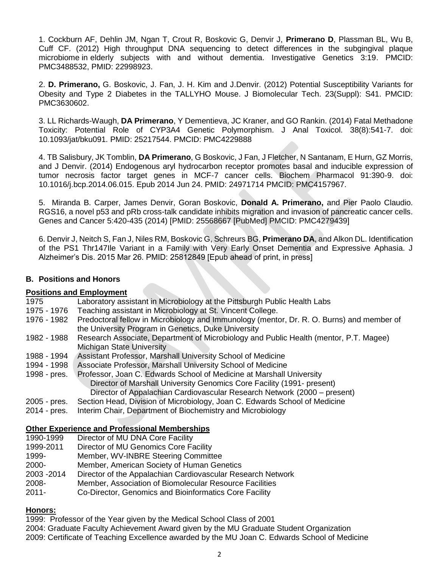1. Cockburn AF, Dehlin JM, Ngan T, Crout R, Boskovic G, Denvir J, **Primerano D**, Plassman BL, Wu B, Cuff CF. (2012) High throughput DNA sequencing to detect differences in the subgingival plaque microbiome in elderly subjects with and without dementia. Investigative Genetics 3:19. PMCID: PMC3488532, PMID: 22998923.

2. **D. Primerano,** G. Boskovic, J. Fan, J. H. Kim and J.Denvir. (2012) Potential Susceptibility Variants for Obesity and Type 2 Diabetes in the TALLYHO Mouse. J Biomolecular Tech. 23(Suppl): S41. PMCID: PMC3630602.

3. LL Richards-Waugh, **DA Primerano**, Y Dementieva, JC Kraner, and GO Rankin. (2014) Fatal Methadone Toxicity: Potential Role of CYP3A4 Genetic Polymorphism. J Anal Toxicol. 38(8):541-7. doi: 10.1093/jat/bku091. PMID: 25217544. PMCID: PMC4229888

4. TB Salisbury, JK Tomblin, **DA Primerano**, G Boskovic, J Fan, J Fletcher, N Santanam, E Hurn, GZ Morris, and J Denvir. (2014) Endogenous aryl hydrocarbon receptor promotes basal and inducible expression of tumor necrosis factor target genes in MCF-7 cancer cells. Biochem Pharmacol 91:390-9. doi: 10.1016/j.bcp.2014.06.015. Epub 2014 Jun 24. PMID: 24971714 PMCID: PMC4157967.

5. Miranda B. Carper, James Denvir, Goran Boskovic, **Donald A. Primerano,** and Pier Paolo Claudio. RGS16, a novel p53 and pRb cross-talk candidate inhibits migration and invasion of pancreatic cancer cells. Genes and Cancer 5:420-435 (2014) [PMID: 25568667 [PubMed] PMCID: PMC4279439]

6. Denvir J, Neitch S, Fan J, Niles RM, Boskovic G, Schreurs BG, **Primerano DA**, and Alkon DL. Identification of the PS1 Thr147Ile Variant in a Family with Very Early Onset Dementia and Expressive Aphasia. J Alzheimer's Dis. 2015 Mar 26. PMID: 25812849 [Epub ahead of print, in press]

#### **B. Positions and Honors**

#### **Positions and Employment**

| 1975         | Laboratory assistant in Microbiology at the Pittsburgh Public Health Labs                                                                                                                                                  |
|--------------|----------------------------------------------------------------------------------------------------------------------------------------------------------------------------------------------------------------------------|
| 1975 - 1976  | Teaching assistant in Microbiology at St. Vincent College.                                                                                                                                                                 |
| 1976 - 1982  | Predoctoral fellow in Microbiology and Immunology (mentor, Dr. R. O. Burns) and member of<br>the University Program in Genetics, Duke University                                                                           |
| 1982 - 1988  | Research Associate, Department of Microbiology and Public Health (mentor, P.T. Magee)<br><b>Michigan State University</b>                                                                                                  |
| 1988 - 1994  | Assistant Professor, Marshall University School of Medicine                                                                                                                                                                |
| 1994 - 1998  | Associate Professor, Marshall University School of Medicine                                                                                                                                                                |
| 1998 - pres. | Professor, Joan C. Edwards School of Medicine at Marshall University<br>Director of Marshall University Genomics Core Facility (1991- present)<br>Director of Appalachian Cardiovascular Research Network (2000 – present) |
| 2005 - pres. | Section Head, Division of Microbiology, Joan C. Edwards School of Medicine                                                                                                                                                 |
| 2014 - pres. | Interim Chair, Department of Biochemistry and Microbiology                                                                                                                                                                 |

## **Other Experience and Professional Memberships**

| 1990-1999   | Director of MU DNA Core Facility                            |
|-------------|-------------------------------------------------------------|
| 1999-2011   | Director of MU Genomics Core Facility                       |
| 1999-       | Member, WV-INBRE Steering Committee                         |
| 2000-       | Member, American Society of Human Genetics                  |
| 2003 - 2014 | Director of the Appalachian Cardiovascular Research Network |
| 2008-       | Member, Association of Biomolecular Resource Facilities     |
| $2011 -$    | Co-Director, Genomics and Bioinformatics Core Facility      |

#### **Honors:**

1999: Professor of the Year given by the Medical School Class of 2001

2004: Graduate Faculty Achievement Award given by the MU Graduate Student Organization

2009: Certificate of Teaching Excellence awarded by the MU Joan C. Edwards School of Medicine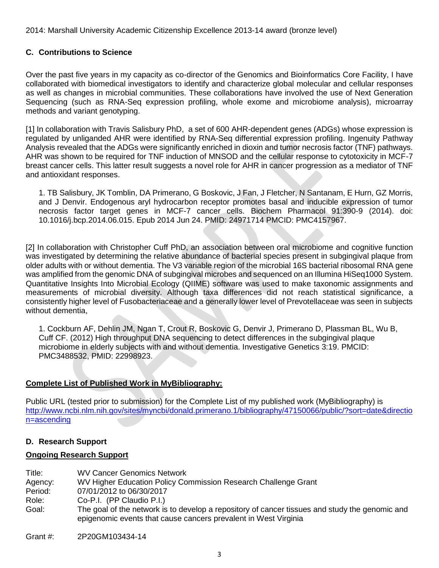2014: Marshall University Academic Citizenship Excellence 2013-14 award (bronze level)

## **C. Contributions to Science**

Over the past five years in my capacity as co-director of the Genomics and Bioinformatics Core Facility, I have collaborated with biomedical investigators to identify and characterize global molecular and cellular responses as well as changes in microbial communities. These collaborations have involved the use of Next Generation Sequencing (such as RNA-Seq expression profiling, whole exome and microbiome analysis), microarray methods and variant genotyping.

[1] In collaboration with Travis Salisbury PhD, a set of 600 AHR-dependent genes (ADGs) whose expression is regulated by unliganded AHR were identified by RNA-Seq differential expression profiling. Ingenuity Pathway Analysis revealed that the ADGs were significantly enriched in dioxin and tumor necrosis factor (TNF) pathways. AHR was shown to be required for TNF induction of MNSOD and the cellular response to cytotoxicity in MCF-7 breast cancer cells. This latter result suggests a novel role for AHR in cancer progression as a mediator of TNF and antioxidant responses.

1. TB Salisbury, JK Tomblin, DA Primerano, G Boskovic, J Fan, J Fletcher, N Santanam, E Hurn, GZ Morris, and J Denvir. Endogenous aryl hydrocarbon receptor promotes basal and inducible expression of tumor necrosis factor target genes in MCF-7 cancer cells. Biochem Pharmacol 91:390-9 (2014). doi: 10.1016/j.bcp.2014.06.015. Epub 2014 Jun 24. PMID: 24971714 PMCID: PMC4157967.

[2] In collaboration with Christopher Cuff PhD, an association between oral microbiome and cognitive function was investigated by determining the relative abundance of bacterial species present in subgingival plaque from older adults with or without dementia. The V3 variable region of the microbial 16S bacterial ribosomal RNA gene was amplified from the genomic DNA of subgingival microbes and sequenced on an Illumina HiSeq1000 System. Quantitative Insights Into Microbial Ecology (QIIME) software was used to make taxonomic assignments and measurements of microbial diversity. Although taxa differences did not reach statistical significance, a consistently higher level of Fusobacteriaceae and a generally lower level of Prevotellaceae was seen in subjects without dementia,

1. Cockburn AF, Dehlin JM, Ngan T, Crout R, Boskovic G, Denvir J, Primerano D, Plassman BL, Wu B, Cuff CF. (2012) High throughput DNA sequencing to detect differences in the subgingival plaque microbiome in elderly subjects with and without dementia. Investigative Genetics 3:19. PMCID: PMC3488532, PMID: 22998923.

## **Complete List of Published Work in MyBibliography:**

Public URL (tested prior to submission) for the Complete List of my published work (MyBibliography) is [http://www.ncbi.nlm.nih.gov/sites/myncbi/donald.primerano.1/bibliography/47150066/public/?sort=date&directio](http://www.ncbi.nlm.nih.gov/sites/myncbi/donald.primerano.1/bibliography/47150066/public/?sort=date&direction=ascending) [n=ascending](http://www.ncbi.nlm.nih.gov/sites/myncbi/donald.primerano.1/bibliography/47150066/public/?sort=date&direction=ascending)

#### **D. Research Support**

#### **Ongoing Research Support**

Title: WV Cancer Genomics Network Agency: WV Higher Education Policy Commission Research Challenge Grant Period: 07/01/2012 to 06/30/2017 Role: Co-P.I. (PP Claudio P.I.) Goal: The goal of the network is to develop a repository of cancer tissues and study the genomic and epigenomic events that cause cancers prevalent in West Virginia

Grant #: 2P20GM103434-14